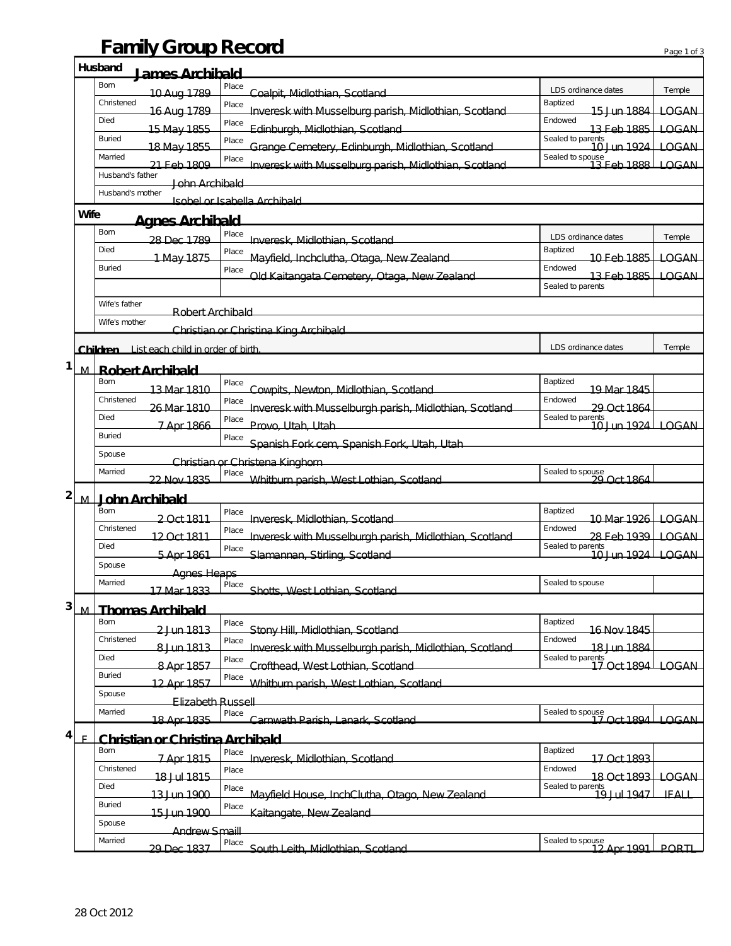## **Family Group Record** Page 1 of 3

|                                          |                                                        | Husband<br><u>lames Archibald</u>              |                                                                 |                                                    |              |  |  |  |
|------------------------------------------|--------------------------------------------------------|------------------------------------------------|-----------------------------------------------------------------|----------------------------------------------------|--------------|--|--|--|
|                                          |                                                        | Born<br>10 Aug 1789                            | Place<br>Coalpit, Midlothian, Scotland                          | LDS ordinance dates                                | Temple       |  |  |  |
|                                          |                                                        | Christened<br>16 Aug 1789                      | Place<br>Inveresk with Musselburg parish, Midlothian, Scotland  | Baptized<br>15 Jun 1884                            | LOGAN        |  |  |  |
|                                          |                                                        | Died                                           | Place                                                           | Endowed                                            |              |  |  |  |
|                                          |                                                        | 15 May 1855<br><b>Buried</b>                   | Edinburgh, Midlothian, Scotland<br>Place                        | 13 Feb 1885<br>Sealed to parents<br>-- 10 Jun 1924 | LOGAN        |  |  |  |
|                                          |                                                        | 18 May 1855<br>Married                         | Grange Cemetery, Edinburgh, Midlothian, Scotland<br>Place       | Sealed to spouse<br>-13 Feb 1888                   | LOGAN        |  |  |  |
|                                          |                                                        | 21 Feb 1809<br>Husband's father                | Inveresk with Musselburg parish, Midlothian, Scotland           |                                                    | <b>LOGAN</b> |  |  |  |
|                                          |                                                        | John Archibald<br>Husband's mother             |                                                                 |                                                    |              |  |  |  |
| Isohal or Isahalla Archihald             |                                                        |                                                |                                                                 |                                                    |              |  |  |  |
|                                          | Wife                                                   | <u>Aanes Archibald</u>                         |                                                                 |                                                    |              |  |  |  |
|                                          |                                                        | Born<br>28 Dec 1789                            | Place<br>Inveresk, Midlothian, Scotland                         | LDS ordinance dates                                | Temple       |  |  |  |
|                                          |                                                        | Died<br>1 May 1875                             | Place<br>Mayfield, Inchclutha, Otaga, New Zealand               | Baptized<br>10 Feb 1885–                           | LOGAN        |  |  |  |
|                                          |                                                        | <b>Buried</b>                                  | Place<br>Old Kaitangata Cemetery, Otaga, New Zealand            | Endowed<br>13 Eeb 1885                             | LOGAN        |  |  |  |
|                                          |                                                        |                                                |                                                                 | Sealed to parents                                  |              |  |  |  |
| Wife's father<br><b>Robert Archibald</b> |                                                        |                                                |                                                                 |                                                    |              |  |  |  |
|                                          | Wife's mother<br>Christian or Christina King Archibald |                                                |                                                                 |                                                    |              |  |  |  |
|                                          |                                                        | List each child in order of birth.<br>Children |                                                                 | LDS ordinance dates                                | Temple       |  |  |  |
| 1                                        |                                                        |                                                |                                                                 |                                                    |              |  |  |  |
|                                          | M.                                                     | <b>Robert Archibald</b><br>Born                | Place                                                           | Baptized                                           |              |  |  |  |
|                                          |                                                        | 13 Mar 1810<br>Christened                      | Cowpits, Newton, Midlothian, Scotland<br>Place                  | 19 Mar 1845<br>Endowed                             |              |  |  |  |
|                                          |                                                        | 26 Mar 1810<br>Died                            | Inveresk with Musselburgh parish, Midlothian, Scotland          | 29 Oct 1864<br>Sealed to parents                   |              |  |  |  |
|                                          |                                                        | 7 Apr 1866<br><b>Buried</b>                    | Place<br>Provo, Utah, Utah                                      | 10 Jun 1924 LOGAN                                  |              |  |  |  |
|                                          |                                                        |                                                | Place<br>Spanish Fork cem, Spanish Fork, Utah, Utah             |                                                    |              |  |  |  |
|                                          |                                                        | Spouse                                         | Christian or Christena Kinghorn                                 |                                                    |              |  |  |  |
|                                          |                                                        | Married<br>22 Nov 1835                         | Place<br>Whitburn parish, West Lothian, Scotland                | Sealed to spouse<br>29 Oct 1864                    |              |  |  |  |
| 2<br>John Archibald<br>M                 |                                                        |                                                |                                                                 |                                                    |              |  |  |  |
|                                          |                                                        | Born<br>2 Oct 1811                             | Place<br>Inveresk, Midlothian, Scotland                         | Baptized<br>10 Mar 1926 LOGAN                      |              |  |  |  |
|                                          |                                                        | Christened<br>12 Oct 1811                      | Place<br>Inveresk with Musselburgh parish, Midlothian, Scotland | Endowed<br>28 Feb 1939   LOGAN                     |              |  |  |  |
|                                          |                                                        | Died<br>5 Apr 1861                             | Place<br>Slamannan, Stirling, Scotland                          | Sealed to parents<br><u>10 lun 1924 l</u>          | LOGAN        |  |  |  |
|                                          |                                                        | Spouse<br><b>Agnes Heaps</b>                   |                                                                 |                                                    |              |  |  |  |
|                                          |                                                        | Married<br>17 Mar 1833                         | Place<br>Shotte West Lothian Scotland                           | Sealed to spouse                                   |              |  |  |  |
| 3                                        | M                                                      |                                                |                                                                 |                                                    |              |  |  |  |
|                                          |                                                        | <b>Thomas Archibald</b><br><b>Born</b>         | Place                                                           | Baptized                                           |              |  |  |  |
|                                          |                                                        | 2 Jun 1813<br>Christened                       | Stony Hill, Midlothian, Scotland<br>Place                       | 16 Nov 1845<br>Endowed                             |              |  |  |  |
|                                          |                                                        | 8 Jun 1813<br>Died                             | Inveresk with Musselburgh parish, Midlothian, Scotland<br>Place | 18 Jun 1884                                        |              |  |  |  |
|                                          |                                                        | 8 Apr 1857<br><b>Buried</b>                    | Crofthead, West Lothian, Scotland<br>Place                      | Sealed to parents<br>17 Oct 1894 LOGAN             |              |  |  |  |
|                                          |                                                        | 12 Apr 1857<br>Spouse                          | Whitburn parish, West Lothian, Scotland                         |                                                    |              |  |  |  |
|                                          |                                                        | <b>Elizabeth Russell</b><br>Married            | Place                                                           |                                                    |              |  |  |  |
|                                          |                                                        | 18 Apr 1835                                    | Carnwath Darich Lanark Scotland                                 | Sealed to spouse<br>17 Oct 1894                    | LOGAN.       |  |  |  |
| 4                                        | E                                                      | <b>Christian or Christina Archibald</b>        |                                                                 |                                                    |              |  |  |  |
|                                          |                                                        | Born<br>7 Apr 1815                             | Place<br>Inveresk, Midlothian, Scotland                         | Baptized<br>17 Oct 1893                            |              |  |  |  |
|                                          |                                                        | Christened<br>18 Jul 1815                      | Place                                                           | Endowed<br>18 Oct 1893   LOGAN                     |              |  |  |  |
|                                          |                                                        | Died<br>13 Jun 1900                            | Place<br>Mayfield House, InchClutha, Otago, New Zealand         | Sealed to parents<br>19 Jul 1947                   | $+$ FALL     |  |  |  |
|                                          |                                                        | <b>Buried</b><br>15 Jun 1900                   | Place<br>Kaitangate, New Zealand                                |                                                    |              |  |  |  |
|                                          | Spouse<br><b>Andrew Smaill</b>                         |                                                |                                                                 |                                                    |              |  |  |  |
|                                          |                                                        | Married<br>20 Dec 1837                         | Place South Leith Midlothian Scotland                           | Sealed to spouse<br>12 Apr 1991                    | <b>DODTL</b> |  |  |  |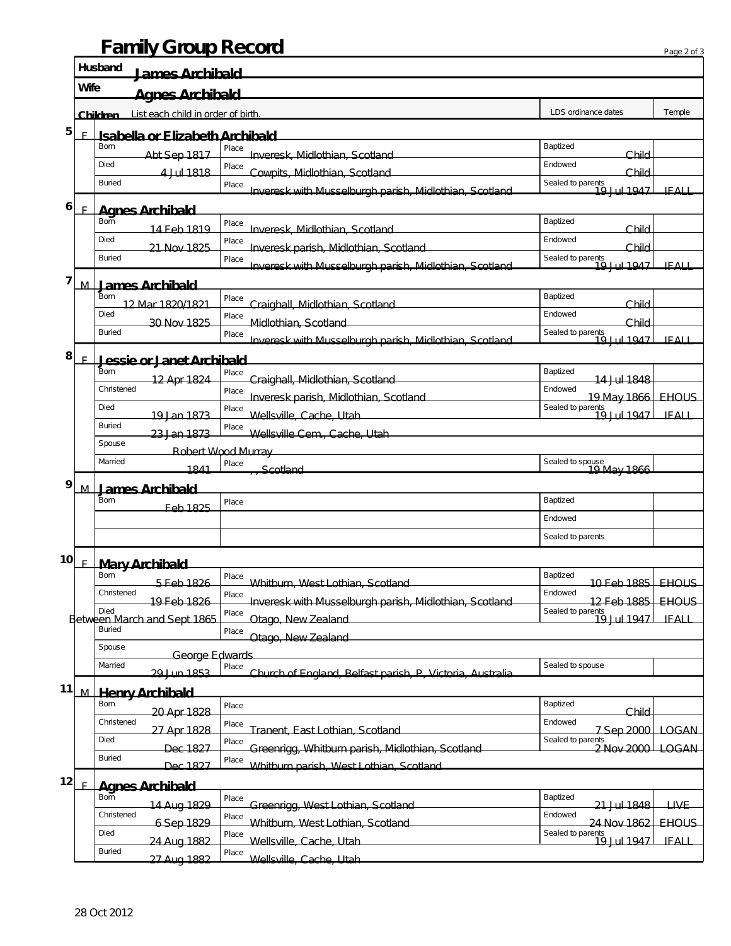## **Family Group Record**

|    |                                       | <b>Family Group Record</b>                             |                                                                    |                                           | Page 2 of 3  |  |  |  |
|----|---------------------------------------|--------------------------------------------------------|--------------------------------------------------------------------|-------------------------------------------|--------------|--|--|--|
|    |                                       | <b>Husband</b><br><b>James Archibald</b>               |                                                                    |                                           |              |  |  |  |
|    | <b>Wife</b><br><b>Agnes Archibald</b> |                                                        |                                                                    |                                           |              |  |  |  |
|    |                                       | List each child in order of birth.<br><b>Children</b>  |                                                                    | LDS ordinance dates                       | Temple       |  |  |  |
| 5  | E                                     | <b>Isabella or Elizabeth Archibald</b>                 |                                                                    |                                           |              |  |  |  |
|    |                                       | Born<br>Abt Sep 1817                                   | Place<br>Inveresk, Midlothian, Scotland                            | Baptized<br>Child                         |              |  |  |  |
|    |                                       | Died<br>4 Jul 1818                                     | Place<br>Cowpits, Midlothian, Scotland                             | Endowed<br>Child                          |              |  |  |  |
|    |                                       | <b>Buried</b>                                          | Place                                                              | Sealed to parents<br>10 Iul 1047          | IFALI        |  |  |  |
| 6  | E                                     | Inveresk with Musselburgh parish, Midlothian, Scotland |                                                                    |                                           |              |  |  |  |
|    |                                       | <b>Agnes Archibald</b><br><b>Born</b>                  | Place                                                              | Baptized                                  |              |  |  |  |
|    |                                       | 14 Feb 1819<br>Died                                    | Inveresk, Midlothian, Scotland<br>Place                            | Child<br>Endowed                          |              |  |  |  |
|    |                                       | 21 Nov 1825<br><b>Buried</b>                           | Inveresk parish, Midlothian, Scotland<br>Place                     | Child<br>Sealed to parents<br>19 Jul 1947 |              |  |  |  |
| 7  |                                       |                                                        | Inveresk with Musselburgh parish, Midlothian, Scotland             |                                           | IFALI        |  |  |  |
|    | M                                     | <b>James Archibald</b><br>Born                         | Place                                                              | Baptized                                  |              |  |  |  |
|    |                                       | 12 Mar 1820/1821<br>Died                               | Craighall, Midlothian, Scotland<br>Place                           | Child<br>Endowed                          |              |  |  |  |
|    |                                       | 30 Nov 1825<br><b>Buried</b>                           | Midlothian, Scotland<br>Place                                      | Child                                     |              |  |  |  |
|    |                                       |                                                        | Inveresk with Musselburgh parish, Midlothian, Scotland             | Sealed to parents<br>19 Jul 1947          | IFALI        |  |  |  |
| 8  | F                                     | Jessie or Janet Archibald                              |                                                                    |                                           |              |  |  |  |
|    |                                       | Born<br>12 Apr 1824                                    | Place<br>Craighall, Midlothian, Scotland                           | Baptized<br>14 Jul 1848                   |              |  |  |  |
|    |                                       | Christened                                             | Place<br>Inveresk parish, Midlothian, Scotland                     | Endowed<br>19 May 1866   EHOUS            |              |  |  |  |
|    |                                       | Died<br>19 Jan 1873                                    | Place<br>Wellsville, Cache, Utah                                   | Sealed to parents<br>19 Jul 1947          | IFALL        |  |  |  |
|    |                                       | <b>Buried</b><br>23 Jan 1873                           | Place<br>Wellsville Cem., Cache, Utah.                             |                                           |              |  |  |  |
|    |                                       | Spouse                                                 | Robert Wood Murray                                                 |                                           |              |  |  |  |
|    |                                       | Married<br>1841                                        | Place<br>Scotland                                                  |                                           |              |  |  |  |
| 9  | M                                     | <b>James Archibald</b>                                 |                                                                    |                                           |              |  |  |  |
|    |                                       | Born<br><u> Eeb 1825</u>                               | Place                                                              | Baptized                                  |              |  |  |  |
|    |                                       |                                                        |                                                                    | Endowed                                   |              |  |  |  |
|    |                                       |                                                        |                                                                    | Sealed to parents                         |              |  |  |  |
| 10 | E                                     | <b>Mary Archibald</b>                                  |                                                                    |                                           |              |  |  |  |
|    |                                       | Born<br>5 Feb 1826                                     | Place<br>Whitburn, West Lothian, Scotland                          | Baptized<br>10 Feb 1885 EHOUS             |              |  |  |  |
|    |                                       | Christened<br>19 Feb 1826                              | Place<br>Inveresk with Musselburgh parish, Midlothian, Scotland    | Endowed<br>12 Feb 1885   EHOUS            |              |  |  |  |
|    |                                       | Died<br>Between March and Sept 1865                    | Place<br>Otago, New Zealand                                        | Sealed to parents<br>19 Jul 1947          | <b>TEALL</b> |  |  |  |
|    |                                       | <b>Buried</b>                                          | Place<br>Otago, New Zealand                                        |                                           |              |  |  |  |
|    |                                       | Spouse<br>George Edwards                               |                                                                    |                                           |              |  |  |  |
|    |                                       | Married<br>20 Jun 1853                                 | Place<br>Church of England, Rolfast narish, D. Victoria, Australia | Sealed to spouse                          |              |  |  |  |
| 11 |                                       |                                                        |                                                                    |                                           |              |  |  |  |
|    | M.                                    | <b>Henry Archibald</b><br>Born                         | Place                                                              | Baptized                                  |              |  |  |  |
|    |                                       | 20 Apr 1828<br>Christened                              | Place                                                              | Child<br>Endowed                          |              |  |  |  |
|    |                                       | 27 Apr 1828<br>Died                                    | Tranent, East Lothian, Scotland<br>Place                           | 7 Sep 2000 LOGAN<br>Sealed to parents     |              |  |  |  |
|    |                                       | Dec 1827<br><b>Buried</b>                              | Greenrigg, Whitburn parish, Midlothian, Scotland<br>Place          | 2 Nov 2000 LOGAN                          |              |  |  |  |
| 12 |                                       | Dec 1827                                               | Whitburn parish, West Lothian, Scotland                            |                                           |              |  |  |  |
|    | E                                     | <b>Agnes Archibald</b><br><b>Born</b>                  | Place                                                              | Baptized                                  |              |  |  |  |
|    |                                       | 14 Aug 1829<br>Christened                              | Greenrigg, West Lothian, Scotland<br>Place                         | 21 Jul 1848<br>Endowed                    | <b>LIVE</b>  |  |  |  |
|    |                                       | 6 Sep 1829<br>Died                                     | Whitburn, West Lothian, Scotland<br>Place                          | 24 Nov 1862                               | EHOUS        |  |  |  |
|    |                                       | 24 Aug 1882<br><b>Buried</b>                           | Wellsville, Cache, Utah                                            | Sealed to parents<br>19 Jul 1947          | <b>IFALL</b> |  |  |  |
|    |                                       | 27 Aug 1882                                            | Place<br>Wellsville, Cache, Utah                                   |                                           |              |  |  |  |